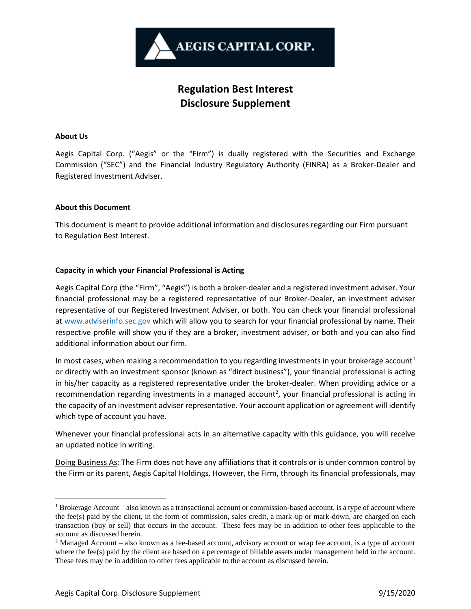

# **Regulation Best Interest Disclosure Supplement**

#### **About Us**

Aegis Capital Corp. ("Aegis" or the "Firm") is dually registered with the Securities and Exchange Commission ("SEC") and the Financial Industry Regulatory Authority (FINRA) as a Broker-Dealer and Registered Investment Adviser.

#### **About this Document**

This document is meant to provide additional information and disclosures regarding our Firm pursuant to Regulation Best Interest.

## **Capacity in which your Financial Professional is Acting**

Aegis Capital Corp (the "Firm", "Aegis") is both a broker-dealer and a registered investment adviser. Your financial professional may be a registered representative of our Broker-Dealer, an investment adviser representative of our Registered Investment Adviser, or both. You can check your financial professional at www.adviserinfo.sec.gov which will allow you to search for your financial professional by name. Their respective profile will show you if they are a broker, investment adviser, or both and you can also find additional information about our firm.

In most cases, when making a recommendation to you regarding investments in your brokerage account<sup>1</sup> or directly with an investment sponsor (known as "direct business"), your financial professional is acting in his/her capacity as a registered representative under the broker-dealer. When providing advice or a recommendation regarding investments in a managed account<sup>2</sup>, your financial professional is acting in the capacity of an investment adviser representative. Your account application or agreement will identify which type of account you have.

Whenever your financial professional acts in an alternative capacity with this guidance, you will receive an updated notice in writing.

Doing Business As: The Firm does not have any affiliations that it controls or is under common control by the Firm or its parent, Aegis Capital Holdings. However, the Firm, through its financial professionals, may

 $1$  Brokerage Account – also known as a transactional account or commission-based account, is a type of account where the fee(s) paid by the client, in the form of commission, sales credit, a mark-up or mark-down, are charged on each transaction (buy or sell) that occurs in the account. These fees may be in addition to other fees applicable to the account as discussed herein.

<sup>&</sup>lt;sup>2</sup> Managed Account – also known as a fee-based account, advisory account or wrap fee account, is a type of account where the fee(s) paid by the client are based on a percentage of billable assets under management held in the account. These fees may be in addition to other fees applicable to the account as discussed herein.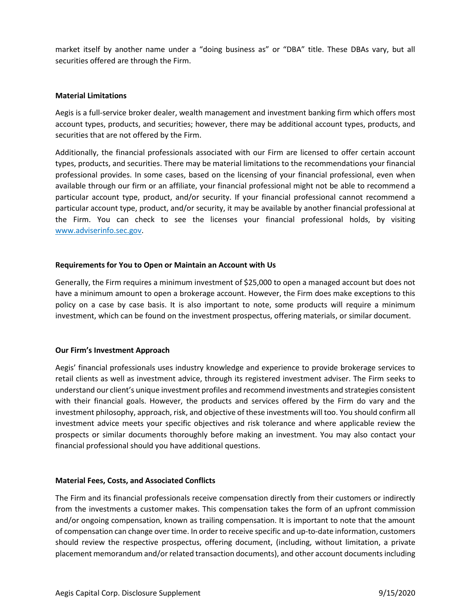market itself by another name under a "doing business as" or "DBA" title. These DBAs vary, but all securities offered are through the Firm.

#### **Material Limitations**

Aegis is a full-service broker dealer, wealth management and investment banking firm which offers most account types, products, and securities; however, there may be additional account types, products, and securities that are not offered by the Firm.

Additionally, the financial professionals associated with our Firm are licensed to offer certain account types, products, and securities. There may be material limitations to the recommendations your financial professional provides. In some cases, based on the licensing of your financial professional, even when available through our firm or an affiliate, your financial professional might not be able to recommend a particular account type, product, and/or security. If your financial professional cannot recommend a particular account type, product, and/or security, it may be available by another financial professional at the Firm. You can check to see the licenses your financial professional holds, by visiting www.adviserinfo.sec.gov.

## **Requirements for You to Open or Maintain an Account with Us**

Generally, the Firm requires a minimum investment of \$25,000 to open a managed account but does not have a minimum amount to open a brokerage account. However, the Firm does make exceptions to this policy on a case by case basis. It is also important to note, some products will require a minimum investment, which can be found on the investment prospectus, offering materials, or similar document.

## **Our Firm's Investment Approach**

Aegis' financial professionals uses industry knowledge and experience to provide brokerage services to retail clients as well as investment advice, through its registered investment adviser. The Firm seeks to understand our client's unique investment profiles and recommend investments and strategies consistent with their financial goals. However, the products and services offered by the Firm do vary and the investment philosophy, approach, risk, and objective of these investments will too. You should confirm all investment advice meets your specific objectives and risk tolerance and where applicable review the prospects or similar documents thoroughly before making an investment. You may also contact your financial professional should you have additional questions.

## **Material Fees, Costs, and Associated Conflicts**

The Firm and its financial professionals receive compensation directly from their customers or indirectly from the investments a customer makes. This compensation takes the form of an upfront commission and/or ongoing compensation, known as trailing compensation. It is important to note that the amount of compensation can change over time. In order to receive specific and up-to-date information, customers should review the respective prospectus, offering document, (including, without limitation, a private placement memorandum and/or related transaction documents), and other account documents including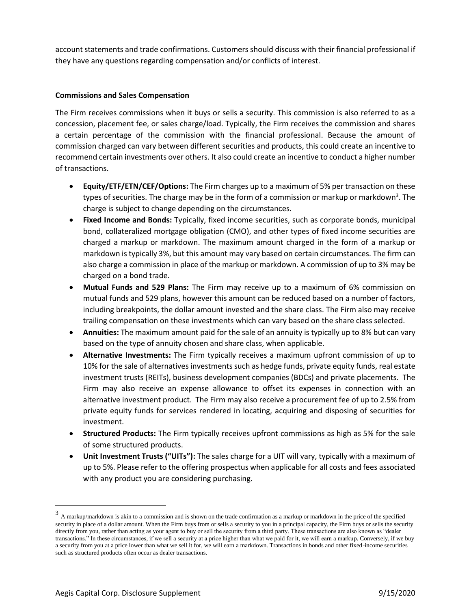account statements and trade confirmations. Customers should discuss with their financial professional if they have any questions regarding compensation and/or conflicts of interest.

## **Commissions and Sales Compensation**

The Firm receives commissions when it buys or sells a security. This commission is also referred to as a concession, placement fee, or sales charge/load. Typically, the Firm receives the commission and shares a certain percentage of the commission with the financial professional. Because the amount of commission charged can vary between different securities and products, this could create an incentive to recommend certain investments over others. It also could create an incentive to conduct a higher number of transactions.

- **Equity/ETF/ETN/CEF/Options:** The Firm charges up to a maximum of 5% per transaction on these types of securities. The charge may be in the form of a commission or markup or markdown<sup>3</sup>. The charge is subject to change depending on the circumstances.
- **Fixed Income and Bonds:** Typically, fixed income securities, such as corporate bonds, municipal bond, collateralized mortgage obligation (CMO), and other types of fixed income securities are charged a markup or markdown. The maximum amount charged in the form of a markup or markdown is typically 3%, but this amount may vary based on certain circumstances. The firm can also charge a commission in place of the markup or markdown. A commission of up to 3% may be charged on a bond trade.
- **Mutual Funds and 529 Plans:** The Firm may receive up to a maximum of 6% commission on mutual funds and 529 plans, however this amount can be reduced based on a number of factors, including breakpoints, the dollar amount invested and the share class. The Firm also may receive trailing compensation on these investments which can vary based on the share class selected.
- **Annuities:** The maximum amount paid for the sale of an annuity is typically up to 8% but can vary based on the type of annuity chosen and share class, when applicable.
- **Alternative Investments:** The Firm typically receives a maximum upfront commission of up to 10% for the sale of alternatives investments such as hedge funds, private equity funds, real estate investment trusts (REITs), business development companies (BDCs) and private placements. The Firm may also receive an expense allowance to offset its expenses in connection with an alternative investment product. The Firm may also receive a procurement fee of up to 2.5% from private equity funds for services rendered in locating, acquiring and disposing of securities for investment.
- **Structured Products:** The Firm typically receives upfront commissions as high as 5% for the sale of some structured products.
- **Unit Investment Trusts ("UITs"):** The sales charge for a UIT will vary, typically with a maximum of up to 5%. Please refer to the offering prospectus when applicable for all costs and fees associated with any product you are considering purchasing.

 $3$  A markup/markdown is akin to a commission and is shown on the trade confirmation as a markup or markdown in the price of the specified security in place of a dollar amount. When the Firm buys from or sells a security to you in a principal capacity, the Firm buys or sells the security directly from you, rather than acting as your agent to buy or sell the security from a third party. These transactions are also known as "dealer transactions." In these circumstances, if we sell a security at a price higher than what we paid for it, we will earn a markup. Conversely, if we buy a security from you at a price lower than what we sell it for, we will earn a markdown. Transactions in bonds and other fixed-income securities such as structured products often occur as dealer transactions.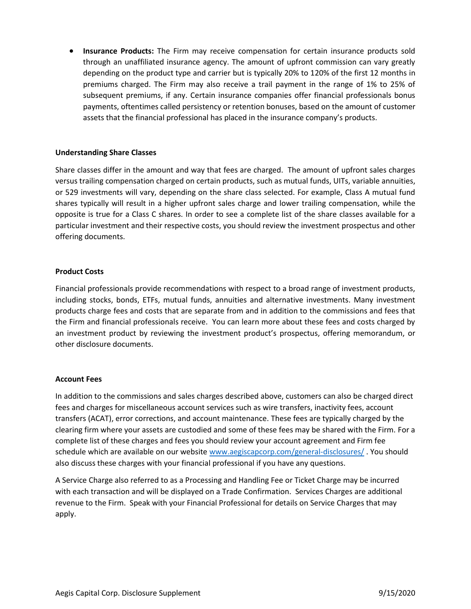• **Insurance Products:** The Firm may receive compensation for certain insurance products sold through an unaffiliated insurance agency. The amount of upfront commission can vary greatly depending on the product type and carrier but is typically 20% to 120% of the first 12 months in premiums charged. The Firm may also receive a trail payment in the range of 1% to 25% of subsequent premiums, if any. Certain insurance companies offer financial professionals bonus payments, oftentimes called persistency or retention bonuses, based on the amount of customer assets that the financial professional has placed in the insurance company's products.

#### **Understanding Share Classes**

Share classes differ in the amount and way that fees are charged. The amount of upfront sales charges versus trailing compensation charged on certain products, such as mutual funds, UITs, variable annuities, or 529 investments will vary, depending on the share class selected. For example, Class A mutual fund shares typically will result in a higher upfront sales charge and lower trailing compensation, while the opposite is true for a Class C shares. In order to see a complete list of the share classes available for a particular investment and their respective costs, you should review the investment prospectus and other offering documents.

#### **Product Costs**

Financial professionals provide recommendations with respect to a broad range of investment products, including stocks, bonds, ETFs, mutual funds, annuities and alternative investments. Many investment products charge fees and costs that are separate from and in addition to the commissions and fees that the Firm and financial professionals receive. You can learn more about these fees and costs charged by an investment product by reviewing the investment product's prospectus, offering memorandum, or other disclosure documents.

## **Account Fees**

In addition to the commissions and sales charges described above, customers can also be charged direct fees and charges for miscellaneous account services such as wire transfers, inactivity fees, account transfers (ACAT), error corrections, and account maintenance. These fees are typically charged by the clearing firm where your assets are custodied and some of these fees may be shared with the Firm. For a complete list of these charges and fees you should review your account agreement and Firm fee schedule which are available on our website [www.aegiscapcorp.com/general-disclosures/](http://www.aegiscapcorp.com/general-disclosures/) . You should also discuss these charges with your financial professional if you have any questions.

A Service Charge also referred to as a Processing and Handling Fee or Ticket Charge may be incurred with each transaction and will be displayed on a Trade Confirmation. Services Charges are additional revenue to the Firm. Speak with your Financial Professional for details on Service Charges that may apply.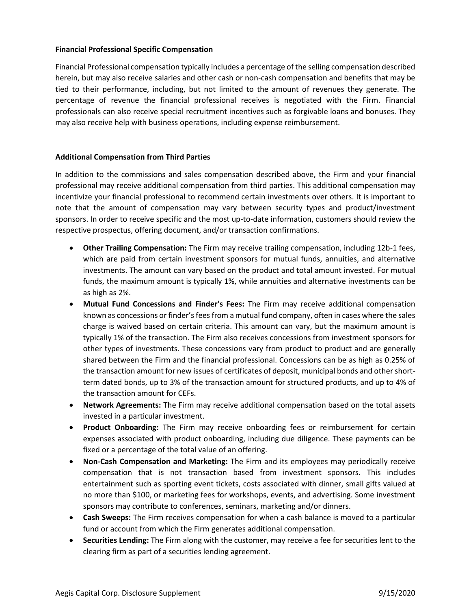#### **Financial Professional Specific Compensation**

Financial Professional compensation typically includes a percentage of the selling compensation described herein, but may also receive salaries and other cash or non-cash compensation and benefits that may be tied to their performance, including, but not limited to the amount of revenues they generate. The percentage of revenue the financial professional receives is negotiated with the Firm. Financial professionals can also receive special recruitment incentives such as forgivable loans and bonuses. They may also receive help with business operations, including expense reimbursement.

## **Additional Compensation from Third Parties**

In addition to the commissions and sales compensation described above, the Firm and your financial professional may receive additional compensation from third parties. This additional compensation may incentivize your financial professional to recommend certain investments over others. It is important to note that the amount of compensation may vary between security types and product/investment sponsors. In order to receive specific and the most up-to-date information, customers should review the respective prospectus, offering document, and/or transaction confirmations.

- **Other Trailing Compensation:** The Firm may receive trailing compensation, including 12b-1 fees, which are paid from certain investment sponsors for mutual funds, annuities, and alternative investments. The amount can vary based on the product and total amount invested. For mutual funds, the maximum amount is typically 1%, while annuities and alternative investments can be as high as 2%.
- **Mutual Fund Concessions and Finder's Fees:** The Firm may receive additional compensation known as concessions or finder's fees from a mutual fund company, often in cases where the sales charge is waived based on certain criteria. This amount can vary, but the maximum amount is typically 1% of the transaction. The Firm also receives concessions from investment sponsors for other types of investments. These concessions vary from product to product and are generally shared between the Firm and the financial professional. Concessions can be as high as 0.25% of the transaction amount for new issues of certificates of deposit, municipal bonds and other shortterm dated bonds, up to 3% of the transaction amount for structured products, and up to 4% of the transaction amount for CEFs.
- **Network Agreements:** The Firm may receive additional compensation based on the total assets invested in a particular investment.
- **Product Onboarding:** The Firm may receive onboarding fees or reimbursement for certain expenses associated with product onboarding, including due diligence. These payments can be fixed or a percentage of the total value of an offering.
- **Non-Cash Compensation and Marketing:** The Firm and its employees may periodically receive compensation that is not transaction based from investment sponsors. This includes entertainment such as sporting event tickets, costs associated with dinner, small gifts valued at no more than \$100, or marketing fees for workshops, events, and advertising. Some investment sponsors may contribute to conferences, seminars, marketing and/or dinners.
- **Cash Sweeps:** The Firm receives compensation for when a cash balance is moved to a particular fund or account from which the Firm generates additional compensation.
- **Securities Lending:** The Firm along with the customer, may receive a fee for securities lent to the clearing firm as part of a securities lending agreement.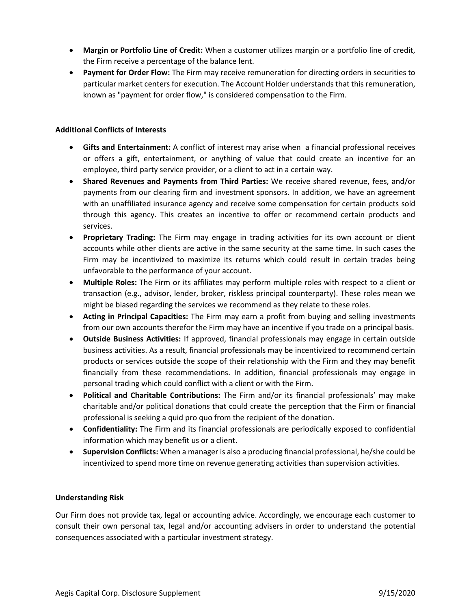- **Margin or Portfolio Line of Credit:** When a customer utilizes margin or a portfolio line of credit, the Firm receive a percentage of the balance lent.
- **Payment for Order Flow:** The Firm may receive remuneration for directing orders in securities to particular market centers for execution. The Account Holder understands that this remuneration, known as "payment for order flow," is considered compensation to the Firm.

#### **Additional Conflicts of Interests**

- **Gifts and Entertainment:** A conflict of interest may arise when a financial professional receives or offers a gift, entertainment, or anything of value that could create an incentive for an employee, third party service provider, or a client to act in a certain way.
- **Shared Revenues and Payments from Third Parties:** We receive shared revenue, fees, and/or payments from our clearing firm and investment sponsors. In addition, we have an agreement with an unaffiliated insurance agency and receive some compensation for certain products sold through this agency. This creates an incentive to offer or recommend certain products and services.
- **Proprietary Trading:** The Firm may engage in trading activities for its own account or client accounts while other clients are active in the same security at the same time. In such cases the Firm may be incentivized to maximize its returns which could result in certain trades being unfavorable to the performance of your account.
- **Multiple Roles:** The Firm or its affiliates may perform multiple roles with respect to a client or transaction (e.g., advisor, lender, broker, riskless principal counterparty). These roles mean we might be biased regarding the services we recommend as they relate to these roles.
- **Acting in Principal Capacities:** The Firm may earn a profit from buying and selling investments from our own accounts therefor the Firm may have an incentive if you trade on a principal basis.
- **Outside Business Activities:** If approved, financial professionals may engage in certain outside business activities. As a result, financial professionals may be incentivized to recommend certain products or services outside the scope of their relationship with the Firm and they may benefit financially from these recommendations. In addition, financial professionals may engage in personal trading which could conflict with a client or with the Firm.
- **Political and Charitable Contributions:** The Firm and/or its financial professionals' may make charitable and/or political donations that could create the perception that the Firm or financial professional is seeking a quid pro quo from the recipient of the donation.
- **Confidentiality:** The Firm and its financial professionals are periodically exposed to confidential information which may benefit us or a client.
- **Supervision Conflicts:** When a manager is also a producing financial professional, he/she could be incentivized to spend more time on revenue generating activities than supervision activities.

#### **Understanding Risk**

Our Firm does not provide tax, legal or accounting advice. Accordingly, we encourage each customer to consult their own personal tax, legal and/or accounting advisers in order to understand the potential consequences associated with a particular investment strategy.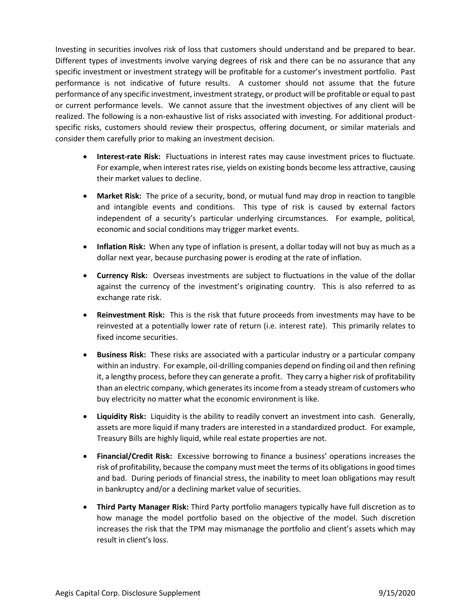Investing in securities involves risk of loss that customers should understand and be prepared to bear. Different types of investments involve varying degrees of risk and there can be no assurance that any specific investment or investment strategy will be profitable for a customer's investment portfolio. Past performance is not indicative of future results. A customer should not assume that the future performance of any specific investment, investment strategy, or product will be profitable or equal to past or current performance levels. We cannot assure that the investment objectives of any client will be realized. The following is a non-exhaustive list of risks associated with investing. For additional productspecific risks, customers should review their prospectus, offering document, or similar materials and consider them carefully prior to making an investment decision.

- **Interest-rate Risk:** Fluctuations in interest rates may cause investment prices to fluctuate. For example, when interest rates rise, yields on existing bonds become less attractive, causing their market values to decline.
- **Market Risk:** The price of a security, bond, or mutual fund may drop in reaction to tangible and intangible events and conditions. This type of risk is caused by external factors independent of a security's particular underlying circumstances. For example, political, economic and social conditions may trigger market events.
- **Inflation Risk:** When any type of inflation is present, a dollar today will not buy as much as a dollar next year, because purchasing power is eroding at the rate of inflation.
- **Currency Risk:** Overseas investments are subject to fluctuations in the value of the dollar against the currency of the investment's originating country. This is also referred to as exchange rate risk.
- **Reinvestment Risk:** This is the risk that future proceeds from investments may have to be reinvested at a potentially lower rate of return (i.e. interest rate). This primarily relates to fixed income securities.
- **Business Risk:** These risks are associated with a particular industry or a particular company within an industry. For example, oil-drilling companies depend on finding oil and then refining it, a lengthy process, before they can generate a profit. They carry a higher risk of profitability than an electric company, which generates its income from a steady stream of customers who buy electricity no matter what the economic environment is like.
- **Liquidity Risk:** Liquidity is the ability to readily convert an investment into cash. Generally, assets are more liquid if many traders are interested in a standardized product. For example, Treasury Bills are highly liquid, while real estate properties are not.
- **Financial/Credit Risk:** Excessive borrowing to finance a business' operations increases the risk of profitability, because the company must meet the terms of its obligations in good times and bad. During periods of financial stress, the inability to meet loan obligations may result in bankruptcy and/or a declining market value of securities.
- **Third Party Manager Risk:** Third Party portfolio managers typically have full discretion as to how manage the model portfolio based on the objective of the model. Such discretion increases the risk that the TPM may mismanage the portfolio and client's assets which may result in client's loss.